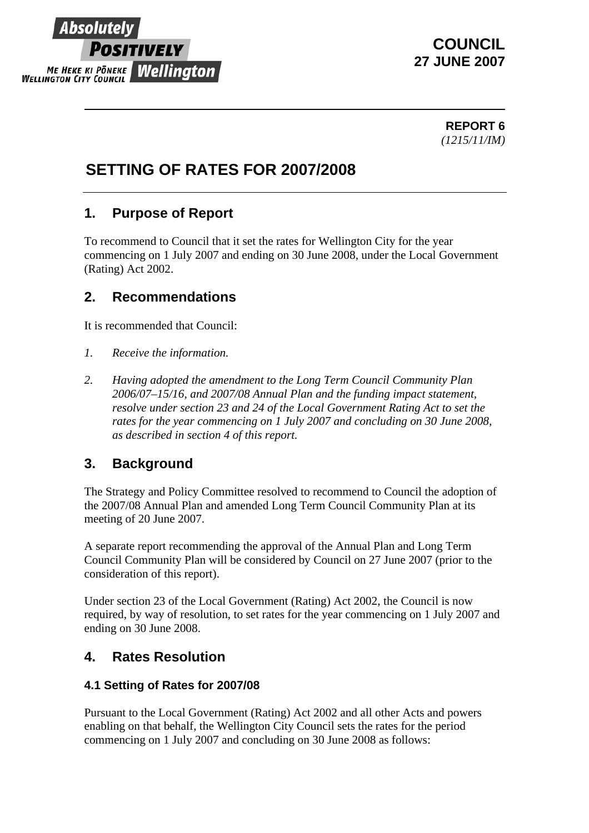# Absolutel Positively **ME HEKE KI PONEKE Wellington**

### **COUNCIL 27 JUNE 2007**

**REPORT 6** *(1215/11/IM)* 

## **SETTING OF RATES FOR 2007/2008**

### **1. Purpose of Report**

To recommend to Council that it set the rates for Wellington City for the year commencing on 1 July 2007 and ending on 30 June 2008, under the Local Government (Rating) Act 2002.

### **2. Recommendations**

It is recommended that Council:

- *1. Receive the information.*
- *2. Having adopted the amendment to the Long Term Council Community Plan 2006/07–15/16, and 2007/08 Annual Plan and the funding impact statement, resolve under section 23 and 24 of the Local Government Rating Act to set the rates for the year commencing on 1 July 2007 and concluding on 30 June 2008, as described in section 4 of this report.*

### **3. Background**

The Strategy and Policy Committee resolved to recommend to Council the adoption of the 2007/08 Annual Plan and amended Long Term Council Community Plan at its meeting of 20 June 2007.

A separate report recommending the approval of the Annual Plan and Long Term Council Community Plan will be considered by Council on 27 June 2007 (prior to the consideration of this report).

Under section 23 of the Local Government (Rating) Act 2002, the Council is now required, by way of resolution, to set rates for the year commencing on 1 July 2007 and ending on 30 June 2008.

### **4. Rates Resolution**

#### **4.1 Setting of Rates for 2007/08**

Pursuant to the Local Government (Rating) Act 2002 and all other Acts and powers enabling on that behalf, the Wellington City Council sets the rates for the period commencing on 1 July 2007 and concluding on 30 June 2008 as follows: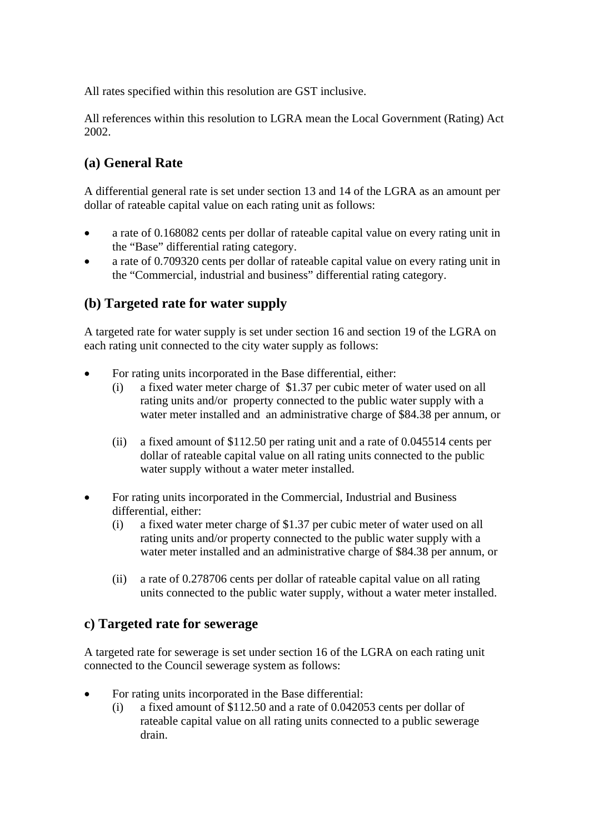All rates specified within this resolution are GST inclusive.

All references within this resolution to LGRA mean the Local Government (Rating) Act 2002.

#### **(a) General Rate**

A differential general rate is set under section 13 and 14 of the LGRA as an amount per dollar of rateable capital value on each rating unit as follows:

- a rate of 0.168082 cents per dollar of rateable capital value on every rating unit in the "Base" differential rating category.
- a rate of 0.709320 cents per dollar of rateable capital value on every rating unit in the "Commercial, industrial and business" differential rating category.

#### **(b) Targeted rate for water supply**

A targeted rate for water supply is set under section 16 and section 19 of the LGRA on each rating unit connected to the city water supply as follows:

- For rating units incorporated in the Base differential, either:
	- (i) a fixed water meter charge of \$1.37 per cubic meter of water used on all rating units and/or property connected to the public water supply with a water meter installed and an administrative charge of \$84.38 per annum, or
	- (ii) a fixed amount of \$112.50 per rating unit and a rate of 0.045514 cents per dollar of rateable capital value on all rating units connected to the public water supply without a water meter installed.
- For rating units incorporated in the Commercial, Industrial and Business differential, either:
	- (i) a fixed water meter charge of \$1.37 per cubic meter of water used on all rating units and/or property connected to the public water supply with a water meter installed and an administrative charge of \$84.38 per annum, or
	- (ii) a rate of 0.278706 cents per dollar of rateable capital value on all rating units connected to the public water supply, without a water meter installed.

#### **c) Targeted rate for sewerage**

A targeted rate for sewerage is set under section 16 of the LGRA on each rating unit connected to the Council sewerage system as follows:

- For rating units incorporated in the Base differential:
	- (i) a fixed amount of \$112.50 and a rate of 0.042053 cents per dollar of rateable capital value on all rating units connected to a public sewerage drain.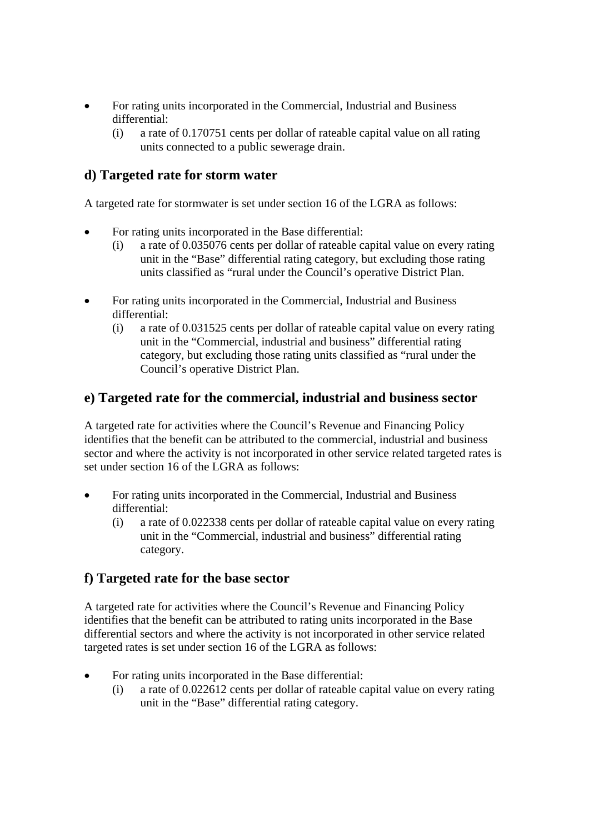- For rating units incorporated in the Commercial, Industrial and Business differential:
	- (i) a rate of 0.170751 cents per dollar of rateable capital value on all rating units connected to a public sewerage drain.

#### **d) Targeted rate for storm water**

A targeted rate for stormwater is set under section 16 of the LGRA as follows:

- For rating units incorporated in the Base differential:
	- (i) a rate of 0.035076 cents per dollar of rateable capital value on every rating unit in the "Base" differential rating category, but excluding those rating units classified as "rural under the Council's operative District Plan.
- For rating units incorporated in the Commercial, Industrial and Business differential:
	- (i) a rate of 0.031525 cents per dollar of rateable capital value on every rating unit in the "Commercial, industrial and business" differential rating category, but excluding those rating units classified as "rural under the Council's operative District Plan.

#### **e) Targeted rate for the commercial, industrial and business sector**

A targeted rate for activities where the Council's Revenue and Financing Policy identifies that the benefit can be attributed to the commercial, industrial and business sector and where the activity is not incorporated in other service related targeted rates is set under section 16 of the LGRA as follows:

- For rating units incorporated in the Commercial, Industrial and Business differential:
	- (i) a rate of 0.022338 cents per dollar of rateable capital value on every rating unit in the "Commercial, industrial and business" differential rating category.

#### **f) Targeted rate for the base sector**

A targeted rate for activities where the Council's Revenue and Financing Policy identifies that the benefit can be attributed to rating units incorporated in the Base differential sectors and where the activity is not incorporated in other service related targeted rates is set under section 16 of the LGRA as follows:

- For rating units incorporated in the Base differential:
	- (i) a rate of 0.022612 cents per dollar of rateable capital value on every rating unit in the "Base" differential rating category.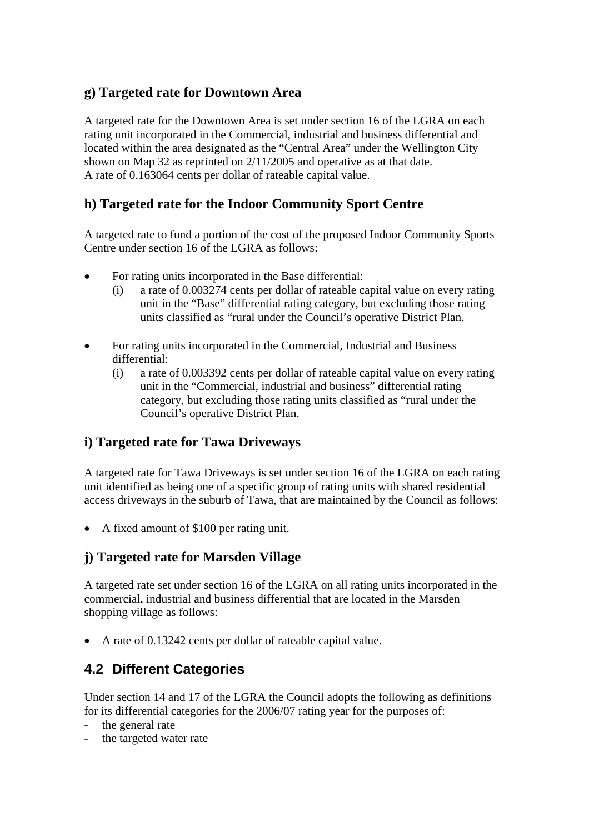#### **g) Targeted rate for Downtown Area**

A targeted rate for the Downtown Area is set under section 16 of the LGRA on each rating unit incorporated in the Commercial, industrial and business differential and located within the area designated as the "Central Area" under the Wellington City shown on Map 32 as reprinted on 2/11/2005 and operative as at that date. A rate of 0.163064 cents per dollar of rateable capital value.

#### **h) Targeted rate for the Indoor Community Sport Centre**

A targeted rate to fund a portion of the cost of the proposed Indoor Community Sports Centre under section 16 of the LGRA as follows:

- For rating units incorporated in the Base differential:
	- (i) a rate of 0.003274 cents per dollar of rateable capital value on every rating unit in the "Base" differential rating category, but excluding those rating units classified as "rural under the Council's operative District Plan.
- For rating units incorporated in the Commercial, Industrial and Business differential:
	- (i) a rate of 0.003392 cents per dollar of rateable capital value on every rating unit in the "Commercial, industrial and business" differential rating category, but excluding those rating units classified as "rural under the Council's operative District Plan.

#### **i) Targeted rate for Tawa Driveways**

A targeted rate for Tawa Driveways is set under section 16 of the LGRA on each rating unit identified as being one of a specific group of rating units with shared residential access driveways in the suburb of Tawa, that are maintained by the Council as follows:

• A fixed amount of \$100 per rating unit.

#### **j) Targeted rate for Marsden Village**

A targeted rate set under section 16 of the LGRA on all rating units incorporated in the commercial, industrial and business differential that are located in the Marsden shopping village as follows:

• A rate of 0.13242 cents per dollar of rateable capital value.

### **4.2 Different Categories**

Under section 14 and 17 of the LGRA the Council adopts the following as definitions for its differential categories for the 2006/07 rating year for the purposes of:

- the general rate
- the targeted water rate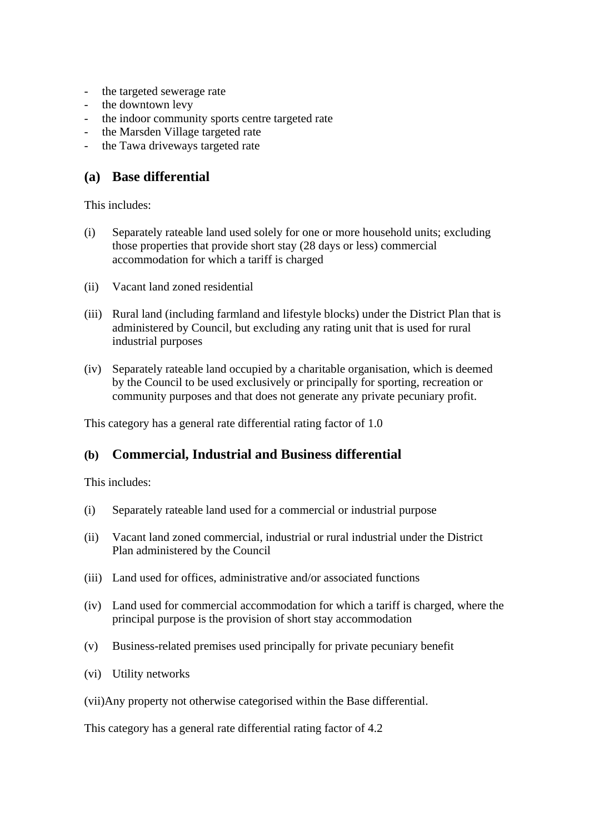- the targeted sewerage rate
- the downtown levy
- the indoor community sports centre targeted rate
- the Marsden Village targeted rate
- the Tawa driveways targeted rate

#### **(a) Base differential**

This includes:

- (i) Separately rateable land used solely for one or more household units; excluding those properties that provide short stay (28 days or less) commercial accommodation for which a tariff is charged
- (ii) Vacant land zoned residential
- (iii) Rural land (including farmland and lifestyle blocks) under the District Plan that is administered by Council, but excluding any rating unit that is used for rural industrial purposes
- (iv) Separately rateable land occupied by a charitable organisation, which is deemed by the Council to be used exclusively or principally for sporting, recreation or community purposes and that does not generate any private pecuniary profit.

This category has a general rate differential rating factor of 1.0

#### **(b) Commercial, Industrial and Business differential**

This includes:

- (i) Separately rateable land used for a commercial or industrial purpose
- (ii) Vacant land zoned commercial, industrial or rural industrial under the District Plan administered by the Council
- (iii) Land used for offices, administrative and/or associated functions
- (iv) Land used for commercial accommodation for which a tariff is charged, where the principal purpose is the provision of short stay accommodation
- (v) Business-related premises used principally for private pecuniary benefit
- (vi) Utility networks
- (vii)Any property not otherwise categorised within the Base differential.

This category has a general rate differential rating factor of 4.2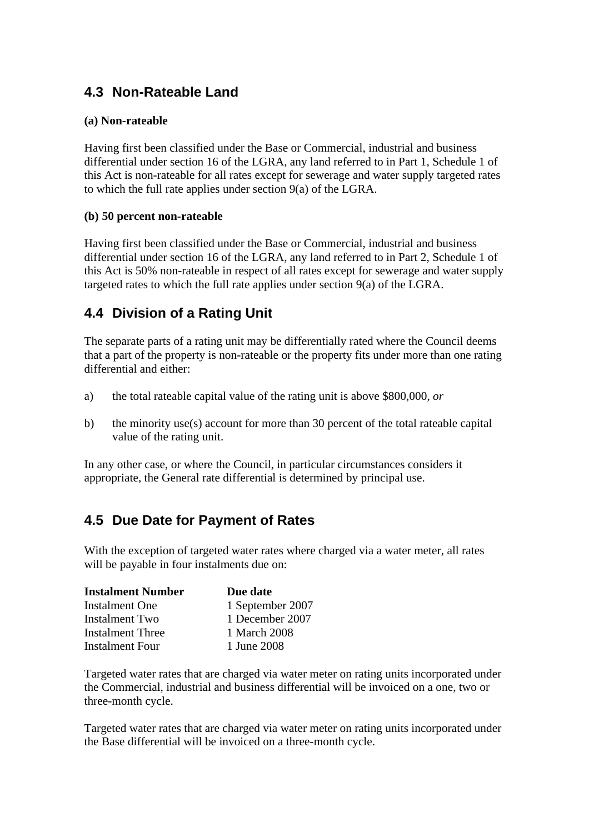### **4.3 Non-Rateable Land**

#### **(a) Non-rateable**

Having first been classified under the Base or Commercial, industrial and business differential under section 16 of the LGRA, any land referred to in Part 1, Schedule 1 of this Act is non-rateable for all rates except for sewerage and water supply targeted rates to which the full rate applies under section 9(a) of the LGRA.

#### **(b) 50 percent non-rateable**

Having first been classified under the Base or Commercial, industrial and business differential under section 16 of the LGRA, any land referred to in Part 2, Schedule 1 of this Act is 50% non-rateable in respect of all rates except for sewerage and water supply targeted rates to which the full rate applies under section 9(a) of the LGRA.

### **4.4 Division of a Rating Unit**

The separate parts of a rating unit may be differentially rated where the Council deems that a part of the property is non-rateable or the property fits under more than one rating differential and either:

- a) the total rateable capital value of the rating unit is above \$800,000, *or*
- b) the minority use(s) account for more than 30 percent of the total rateable capital value of the rating unit.

In any other case, or where the Council, in particular circumstances considers it appropriate, the General rate differential is determined by principal use.

### **4.5 Due Date for Payment of Rates**

With the exception of targeted water rates where charged via a water meter, all rates will be payable in four instalments due on:

| <b>Instalment Number</b> | Due date         |
|--------------------------|------------------|
| <b>Instalment One</b>    | 1 September 2007 |
| Instalment Two           | 1 December 2007  |
| Instalment Three         | 1 March 2008     |
| Instalment Four          | 1 June 2008      |

Targeted water rates that are charged via water meter on rating units incorporated under the Commercial, industrial and business differential will be invoiced on a one, two or three-month cycle.

Targeted water rates that are charged via water meter on rating units incorporated under the Base differential will be invoiced on a three-month cycle.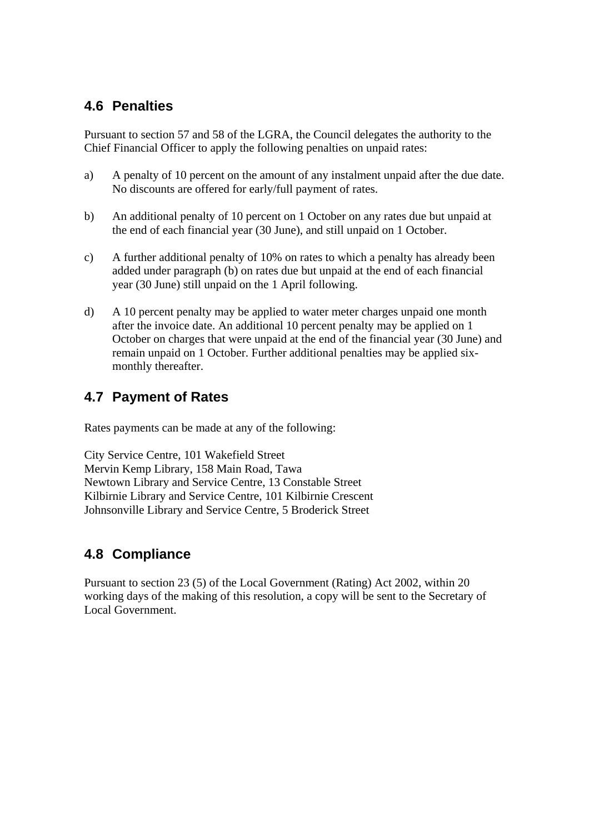### **4.6 Penalties**

Pursuant to section 57 and 58 of the LGRA, the Council delegates the authority to the Chief Financial Officer to apply the following penalties on unpaid rates:

- a) A penalty of 10 percent on the amount of any instalment unpaid after the due date. No discounts are offered for early/full payment of rates.
- b) An additional penalty of 10 percent on 1 October on any rates due but unpaid at the end of each financial year (30 June), and still unpaid on 1 October.
- c) A further additional penalty of 10% on rates to which a penalty has already been added under paragraph (b) on rates due but unpaid at the end of each financial year (30 June) still unpaid on the 1 April following.
- d) A 10 percent penalty may be applied to water meter charges unpaid one month after the invoice date. An additional 10 percent penalty may be applied on 1 October on charges that were unpaid at the end of the financial year (30 June) and remain unpaid on 1 October. Further additional penalties may be applied sixmonthly thereafter.

### **4.7 Payment of Rates**

Rates payments can be made at any of the following:

City Service Centre, 101 Wakefield Street Mervin Kemp Library, 158 Main Road, Tawa Newtown Library and Service Centre, 13 Constable Street Kilbirnie Library and Service Centre, 101 Kilbirnie Crescent Johnsonville Library and Service Centre, 5 Broderick Street

### **4.8 Compliance**

Pursuant to section 23 (5) of the Local Government (Rating) Act 2002, within 20 working days of the making of this resolution, a copy will be sent to the Secretary of Local Government.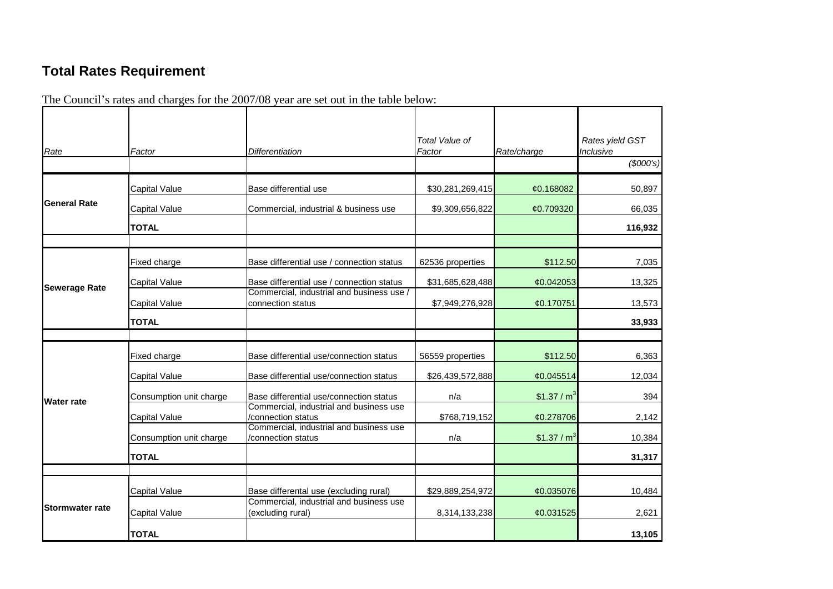# **Total Rates Requirement**

The Council's rates and charges for the 2007/08 year are set out in the table below:

| Rate                                           | Factor                  | <b>Differentiation</b>                                         | Total Value of<br>Factor | Rate/charge    | Rates yield GST<br>Inclusive |
|------------------------------------------------|-------------------------|----------------------------------------------------------------|--------------------------|----------------|------------------------------|
|                                                |                         |                                                                |                          |                | (\$000's)                    |
|                                                | <b>Capital Value</b>    | Base differential use                                          | \$30,281,269,415         | ¢0.168082      | 50,897                       |
| <b>General Rate</b>                            | <b>Capital Value</b>    | Commercial, industrial & business use                          | \$9,309,656,822          | ¢0.709320      | 66,035                       |
|                                                | <b>TOTAL</b>            |                                                                |                          |                | 116,932                      |
|                                                | Fixed charge            | Base differential use / connection status                      | 62536 properties         | \$112.50       | 7,035                        |
|                                                | Capital Value           | Base differential use / connection status                      | \$31,685,628,488         | ¢0.042053      | 13,325                       |
|                                                | <b>Capital Value</b>    | Commercial, industrial and business use /<br>connection status | \$7,949,276,928          | ¢0.170751      | 13,573                       |
|                                                | <b>TOTAL</b>            |                                                                |                          |                | 33,933                       |
|                                                |                         |                                                                |                          |                |                              |
|                                                | Fixed charge            | Base differential use/connection status                        | 56559 properties         | \$112.50       | 6,363                        |
|                                                | <b>Capital Value</b>    | Base differential use/connection status                        | \$26,439,572,888         | ¢0.045514      | 12,034                       |
| Water rate                                     | Consumption unit charge | Base differential use/connection status                        | n/a                      | \$1.37 / $m3$  | 394                          |
|                                                | Capital Value           | Commercial, industrial and business use<br>/connection status  | \$768,719,152            | ¢0.278706      | 2,142                        |
|                                                | Consumption unit charge | Commercial, industrial and business use<br>/connection status  | n/a                      | \$1.37 / $m^3$ | 10,384                       |
|                                                | <b>TOTAL</b>            |                                                                |                          |                | 31,317                       |
|                                                |                         |                                                                |                          |                |                              |
|                                                | Capital Value           | Base differental use (excluding rural)                         | \$29,889,254,972         | ¢0.035076      | 10,484                       |
| <b>Sewerage Rate</b><br><b>Stormwater rate</b> | Capital Value           | Commercial, industrial and business use<br>(excluding rural)   | 8,314,133,238            | ¢0.031525      | 2,621                        |
|                                                | <b>TOTAL</b>            |                                                                |                          |                | 13,105                       |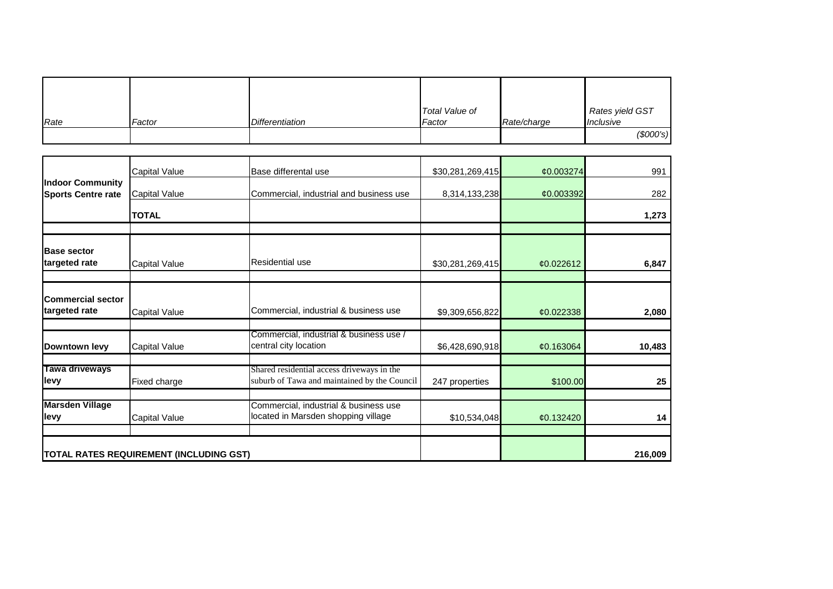| Rate | Factor | Differentiation | Total Value of<br>Factor | Rate/charge | Rates yield GST<br>Inclusive |
|------|--------|-----------------|--------------------------|-------------|------------------------------|
|      |        |                 |                          |             | (\$000's)                    |

|                                                      | <b>Capital Value</b>                    | Base differental use                                                                       | \$30,281,269,415 | ¢0.003274 | 991     |
|------------------------------------------------------|-----------------------------------------|--------------------------------------------------------------------------------------------|------------------|-----------|---------|
| <b>Indoor Community</b><br><b>Sports Centre rate</b> | <b>Capital Value</b>                    | Commercial, industrial and business use                                                    | 8,314,133,238    | ¢0.003392 | 282     |
|                                                      | <b>TOTAL</b>                            |                                                                                            |                  |           | 1,273   |
|                                                      |                                         |                                                                                            |                  |           |         |
| <b>Base sector</b><br>targeted rate                  | <b>Capital Value</b>                    | Residential use                                                                            | \$30,281,269,415 | ¢0.022612 | 6,847   |
|                                                      |                                         |                                                                                            |                  |           |         |
| <b>Commercial sector</b><br>targeted rate            | <b>Capital Value</b>                    | Commercial, industrial & business use                                                      | \$9,309,656,822  | ¢0.022338 | 2,080   |
| Downtown levy                                        | <b>Capital Value</b>                    | Commercial, industrial & business use /<br>central city location                           | \$6,428,690,918  | ¢0.163064 | 10,483  |
| Tawa driveways<br><b>I</b> evy                       | Fixed charge                            | Shared residential access driveways in the<br>suburb of Tawa and maintained by the Council | 247 properties   | \$100.00  | 25      |
| <b>Marsden Village</b>                               |                                         | Commercial, industrial & business use                                                      |                  |           |         |
| llevy                                                | <b>Capital Value</b>                    | located in Marsden shopping village                                                        | \$10,534,048     | ¢0.132420 | 14      |
|                                                      |                                         |                                                                                            |                  |           |         |
|                                                      | TOTAL RATES REQUIREMENT (INCLUDING GST) |                                                                                            |                  |           | 216,009 |